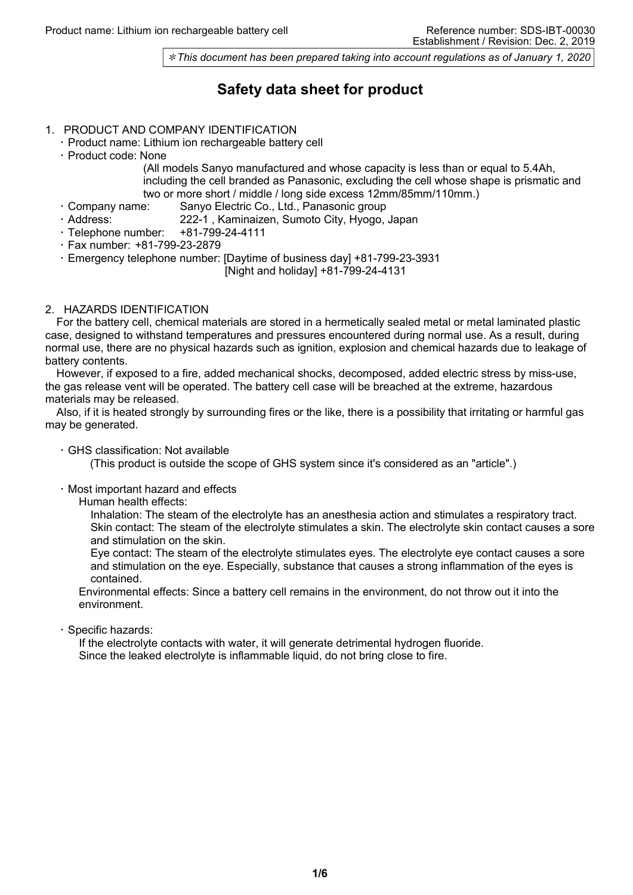# **Safety data sheet for product**

#### 1. PRODUCT AND COMPANY IDENTIFICATION

- Product name: Lithium ion rechargeable battery cell
- Product code: None

(All models Sanyo manufactured and whose capacity is less than or equal to 5.4Ah, including the cell branded as Panasonic, excluding the cell whose shape is prismatic and two or more short / middle / long side excess 12mm/85mm/110mm.)

- Company name: Sanyo Electric Co., Ltd., Panasonic group
- Address: 222-1 , Kaminaizen, Sumoto City, Hyogo, Japan
- $\cdot$  Telephone number:  $+81-799-24-4111$
- Fax number: +81-799-23-2879
- Emergency telephone number: [Daytime of business day] +81-799-23-3931

[Night and holiday] +81-799-24-4131

#### 2. HAZARDS IDENTIFICATION

For the battery cell, chemical materials are stored in a hermetically sealed metal or metal laminated plastic case, designed to withstand temperatures and pressures encountered during normal use. As a result, during normal use, there are no physical hazards such as ignition, explosion and chemical hazards due to leakage of battery contents.

However, if exposed to a fire, added mechanical shocks, decomposed, added electric stress by miss-use, the gas release vent will be operated. The battery cell case will be breached at the extreme, hazardous materials may be released.

Also, if it is heated strongly by surrounding fires or the like, there is a possibility that irritating or harmful gas may be generated.

- GHS classification: Not available
	- (This product is outside the scope of GHS system since it's considered as an "article".)
- Most important hazard and effects

Human health effects:

Inhalation: The steam of the electrolyte has an anesthesia action and stimulates a respiratory tract. Skin contact: The steam of the electrolyte stimulates a skin. The electrolyte skin contact causes a sore and stimulation on the skin.

Eye contact: The steam of the electrolyte stimulates eyes. The electrolyte eye contact causes a sore and stimulation on the eye. Especially, substance that causes a strong inflammation of the eyes is contained.

Environmental effects: Since a battery cell remains in the environment, do not throw out it into the environment.

 $\cdot$  Specific hazards:

If the electrolyte contacts with water, it will generate detrimental hydrogen fluoride. Since the leaked electrolyte is inflammable liquid, do not bring close to fire.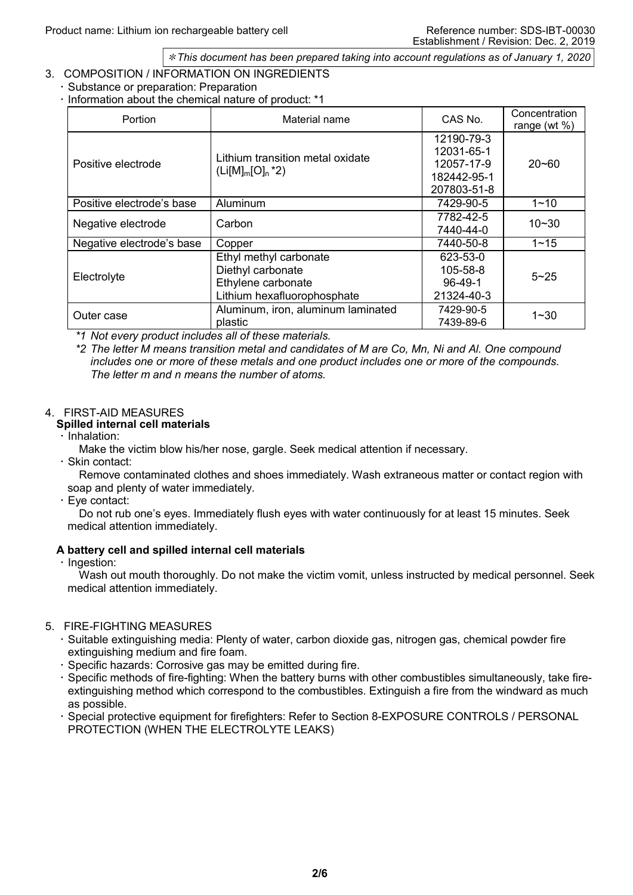## 3. COMPOSITION / INFORMATION ON INGREDIENTS

- Substance or preparation: Preparation
	- $\cdot$  Information about the chemical nature of product:  $*1$

| <b>Portion</b>            | Material name                                                                                    | CAS No.                                             | Concentration<br>range (wt $%$ ) |
|---------------------------|--------------------------------------------------------------------------------------------------|-----------------------------------------------------|----------------------------------|
| Positive electrode        | Lithium transition metal oxidate<br>$(Li[M]_{m}[O]_{n}$ *2)                                      | 12190-79-3<br>12031-65-1<br>12057-17-9              | $20 - 60$                        |
|                           |                                                                                                  | 182442-95-1<br>207803-51-8                          |                                  |
| Positive electrode's base | Aluminum                                                                                         | 7429-90-5                                           | $1 - 10$                         |
| Negative electrode        | Carbon                                                                                           | 7782-42-5<br>7440-44-0                              | $10 - 30$                        |
| Negative electrode's base | Copper                                                                                           | 7440-50-8                                           | $1 - 15$                         |
| Electrolyte               | Ethyl methyl carbonate<br>Diethyl carbonate<br>Ethylene carbonate<br>Lithium hexafluorophosphate | 623-53-0<br>105-58-8<br>$96 - 49 - 1$<br>21324-40-3 | $5 - 25$                         |
| Outer case                | Aluminum, iron, aluminum laminated<br>plastic                                                    | 7429-90-5<br>7439-89-6                              | $1 - 30$                         |

*\*1 Not every product includes all of these materials.*

*\*2 The letter M means transition metal and candidates of M are Co, Mn, Ni and Al. One compound includes one or more of these metals and one product includes one or more of the compounds. The letter m and n means the number of atoms.*

## 4. FIRST-AID MEASURES

- **Spilled internal cell materials**
- $\cdot$  Inhalation:

Make the victim blow his/her nose, gargle. Seek medical attention if necessary.

 $\cdot$  Skin contact:

Remove contaminated clothes and shoes immediately. Wash extraneous matter or contact region with soap and plenty of water immediately.

Eye contact:

Do not rub one's eyes. Immediately flush eyes with water continuously for at least 15 minutes. Seek medical attention immediately.

#### **A battery cell and spilled internal cell materials**

 $\cdot$  Ingestion:

Wash out mouth thoroughly. Do not make the victim vomit, unless instructed by medical personnel. Seek medical attention immediately.

#### 5. FIRE-FIGHTING MEASURES

- Suitable extinguishing media: Plenty of water, carbon dioxide gas, nitrogen gas, chemical powder fire extinguishing medium and fire foam.
- $\cdot$  Specific hazards: Corrosive gas may be emitted during fire.
- Specific methods of fire-fighting: When the battery burns with other combustibles simultaneously, take fireextinguishing method which correspond to the combustibles. Extinguish a fire from the windward as much as possible.
- Special protective equipment for firefighters: Refer to Section 8-EXPOSURE CONTROLS / PERSONAL PROTECTION (WHEN THE ELECTROLYTE LEAKS)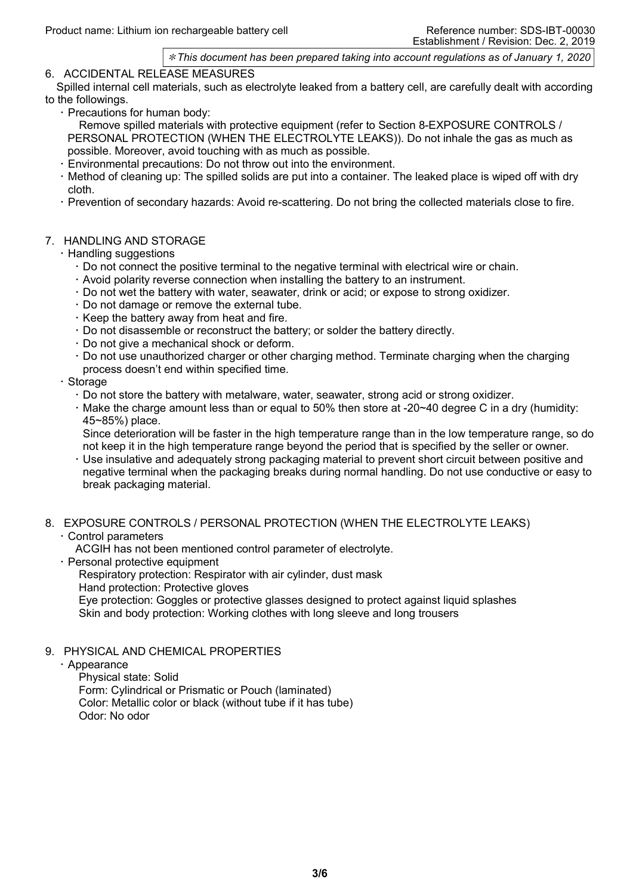6. ACCIDENTAL RELEASE MEASURES

Spilled internal cell materials, such as electrolyte leaked from a battery cell, are carefully dealt with according to the followings.

Precautions for human body:

Remove spilled materials with protective equipment (refer to Section 8-EXPOSURE CONTROLS / PERSONAL PROTECTION (WHEN THE ELECTROLYTE LEAKS)). Do not inhale the gas as much as possible. Moreover, avoid touching with as much as possible.

- Environmental precautions: Do not throw out into the environment.
- Method of cleaning up: The spilled solids are put into a container. The leaked place is wiped off with dry cloth.
- · Prevention of secondary hazards: Avoid re-scattering. Do not bring the collected materials close to fire.

#### 7. HANDLING AND STORAGE

- Handling suggestions
	- Do not connect the positive terminal to the negative terminal with electrical wire or chain.
	- Avoid polarity reverse connection when installing the battery to an instrument.
	- Do not wet the battery with water, seawater, drink or acid; or expose to strong oxidizer.
	- Do not damage or remove the external tube.
	- $\cdot$  Keep the battery away from heat and fire.
	- Do not disassemble or reconstruct the battery; or solder the battery directly.
	- Do not give a mechanical shock or deform.
	- Do not use unauthorized charger or other charging method. Terminate charging when the charging process doesn't end within specified time.
- Storage
	- Do not store the battery with metalware, water, seawater, strong acid or strong oxidizer.
	- $\cdot$  Make the charge amount less than or equal to 50% then store at -20 $\sim$ 40 degree C in a dry (humidity: 45~85%) place.

Since deterioration will be faster in the high temperature range than in the low temperature range, so do not keep it in the high temperature range beyond the period that is specified by the seller or owner.

 Use insulative and adequately strong packaging material to prevent short circuit between positive and negative terminal when the packaging breaks during normal handling. Do not use conductive or easy to break packaging material.

## 8. EXPOSURE CONTROLS / PERSONAL PROTECTION (WHEN THE ELECTROLYTE LEAKS)

#### Control parameters

ACGIH has not been mentioned control parameter of electrolyte.

Personal protective equipment

Respiratory protection: Respirator with air cylinder, dust mask Hand protection: Protective gloves Eye protection: Goggles or protective glasses designed to protect against liquid splashes

Skin and body protection: Working clothes with long sleeve and long trousers

#### 9. PHYSICAL AND CHEMICAL PROPERTIES

#### Appearance

Physical state: Solid Form: Cylindrical or Prismatic or Pouch (laminated) Color: Metallic color or black (without tube if it has tube) Odor: No odor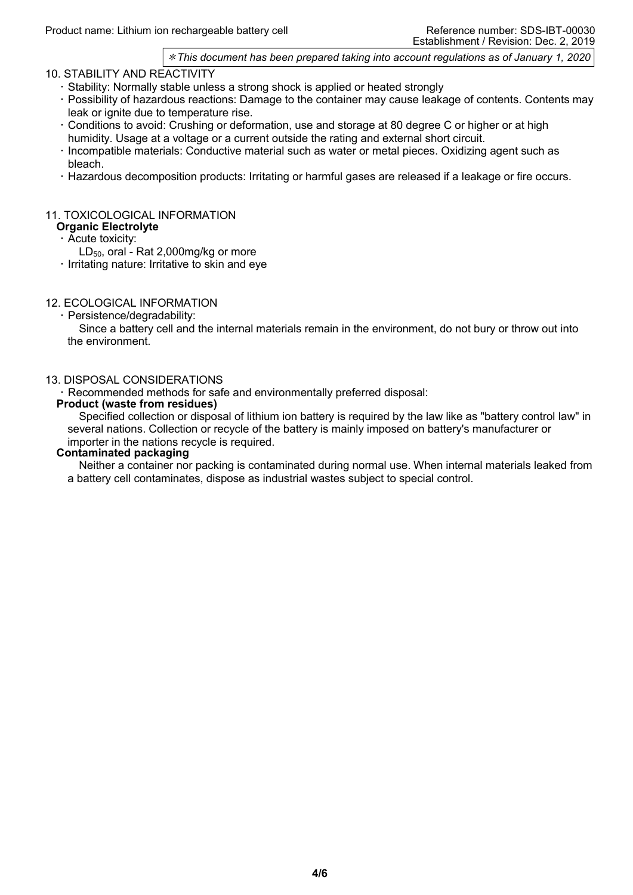#### 10. STABILITY AND REACTIVITY

- Stability: Normally stable unless a strong shock is applied or heated strongly
- Possibility of hazardous reactions: Damage to the container may cause leakage of contents. Contents may leak or ignite due to temperature rise.
- Conditions to avoid: Crushing or deformation, use and storage at 80 degree C or higher or at high humidity. Usage at a voltage or a current outside the rating and external short circuit.
- $\cdot$  Incompatible materials: Conductive material such as water or metal pieces. Oxidizing agent such as bleach.
- Hazardous decomposition products: Irritating or harmful gases are released if a leakage or fire occurs.

#### 11. TOXICOLOGICAL INFORMATION

### **Organic Electrolyte**

#### $\cdot$  Acute toxicity:

- $LD_{50}$ , oral Rat 2,000mg/kg or more
- $\cdot$  Irritating nature: Irritative to skin and eye

#### 12. ECOLOGICAL INFORMATION

Persistence/degradability:

Since a battery cell and the internal materials remain in the environment, do not bury or throw out into the environment.

#### 13. DISPOSAL CONSIDERATIONS

Recommended methods for safe and environmentally preferred disposal:

#### **Product (waste from residues)**

Specified collection or disposal of lithium ion battery is required by the law like as "battery control law" in several nations. Collection or recycle of the battery is mainly imposed on battery's manufacturer or importer in the nations recycle is required.

#### **Contaminated packaging**

Neither a container nor packing is contaminated during normal use. When internal materials leaked from a battery cell contaminates, dispose as industrial wastes subject to special control.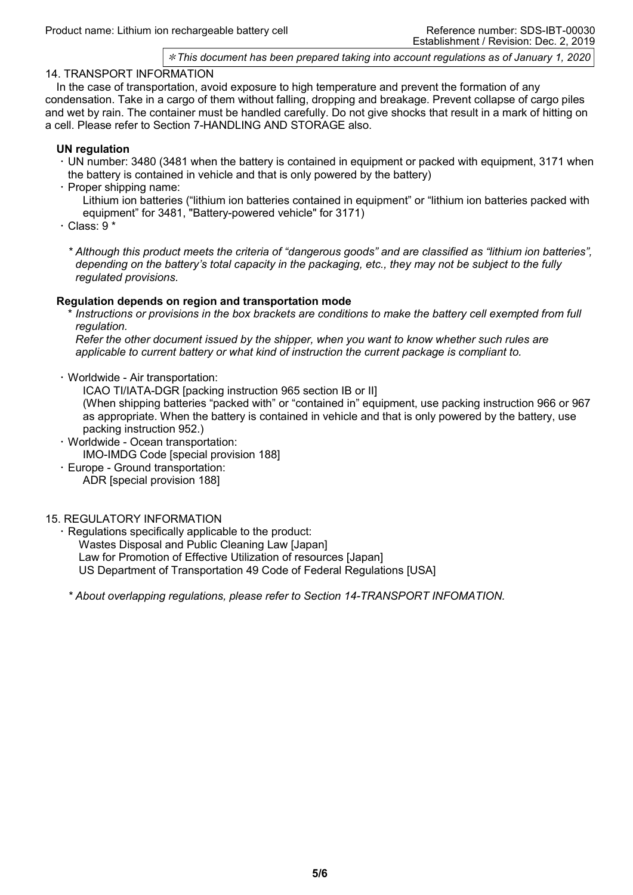#### 14. TRANSPORT INFORMATION

In the case of transportation, avoid exposure to high temperature and prevent the formation of any condensation. Take in a cargo of them without falling, dropping and breakage. Prevent collapse of cargo piles and wet by rain. The container must be handled carefully. Do not give shocks that result in a mark of hitting on a cell. Please refer to Section 7-HANDLING AND STORAGE also.

#### **UN regulation**

- UN number: 3480 (3481 when the battery is contained in equipment or packed with equipment, 3171 when the battery is contained in vehicle and that is only powered by the battery)
- $\cdot$  Proper shipping name:

Lithium ion batteries ("lithium ion batteries contained in equipment" or "lithium ion batteries packed with equipment" for 3481, "Battery-powered vehicle" for 3171)

 $\cdot$  Class: 9  $^{\star}$ 

*\* Although this product meets the criteria of "dangerous goods" and are classified as "lithium ion batteries", depending on the battery's total capacity in the packaging, etc., they may not be subject to the fully regulated provisions.*

#### **Regulation depends on region and transportation mode**

\* *Instructions or provisions in the box brackets are conditions to make the battery cell exempted from full regulation.*

*Refer the other document issued by the shipper, when you want to know whether such rules are applicable to current battery or what kind of instruction the current package is compliant to.*

Worldwide - Air transportation:

ICAO TI/IATA-DGR [packing instruction 965 section IB or II] (When shipping batteries "packed with" or "contained in" equipment, use packing instruction 966 or 967 as appropriate. When the battery is contained in vehicle and that is only powered by the battery, use packing instruction 952.)

- Worldwide Ocean transportation: IMO-IMDG Code [special provision 188]
- Europe Ground transportation: ADR [special provision 188]
- 15. REGULATORY INFORMATION
	- $\cdot$  Regulations specifically applicable to the product: Wastes Disposal and Public Cleaning Law [Japan] Law for Promotion of Effective Utilization of resources [Japan] US Department of Transportation 49 Code of Federal Regulations [USA]

*\* About overlapping regulations, please refer to Section 14-TRANSPORT INFOMATION.*